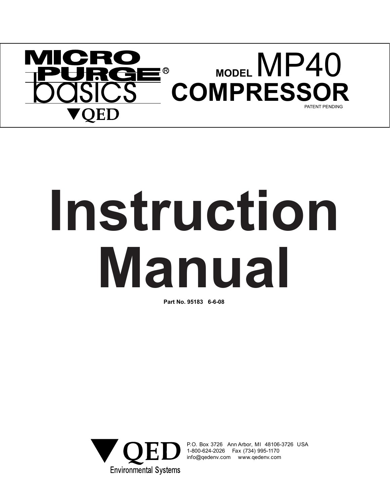

# **Manual Instruction**

**Part No. 95183 6-6-08**



P.O. Box 3726 Ann Arbor, MI 48106-3726 USA 1.0. Box 9720 Anii Albor, Mil 40100.<br>1-800-624-2026 Fax (734) 995-1170<br>info@gedeny.com www.gedeny.com info@qedenv.com www.qedenv.com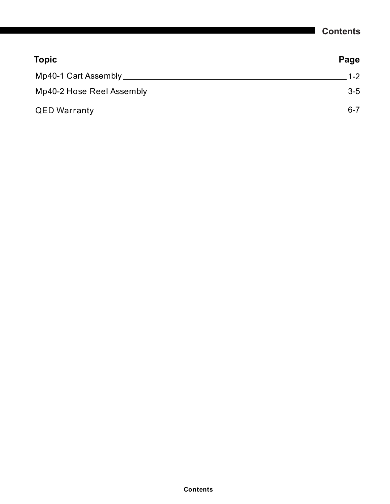## **Contents**

| <b>Topic</b>              | Page    |
|---------------------------|---------|
| Mp40-1 Cart Assembly      | $1 - 2$ |
| Mp40-2 Hose Reel Assembly | $3-5$   |
|                           | $6 - 7$ |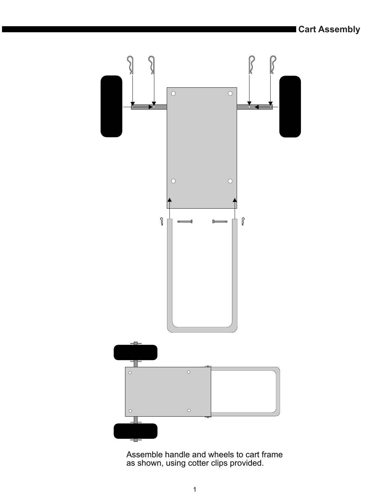

Assemble handle and wheels to cart frame as shown, using cotter clips provided.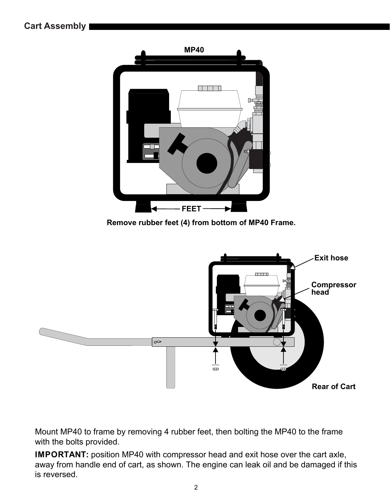

**Remove rubber feet (4) from bottom of MP40 Frame.**



Mount MP40 to frame by removing 4 rubber feet, then bolting the MP40 to the frame with the bolts provided.

**IMPORTANT:** position MP40 with compressor head and exit hose over the cart axle, away from handle end of cart, as shown. The engine can leak oil and be damaged if this is reversed.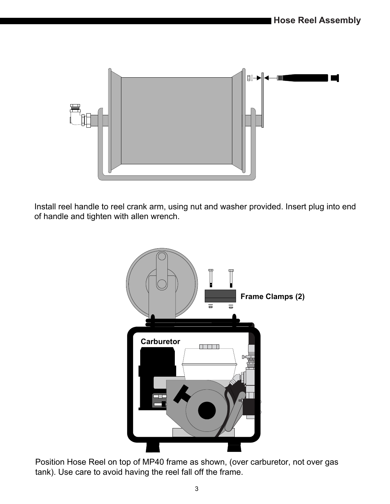

Install reel handle to reel crank arm, using nut and washer provided. Insert plug into end of handle and tighten with allen wrench.



Position Hose Reel on top of MP40 frame as shown, (over carburetor, not over gas tank). Use care to avoid having the reel fall off the frame.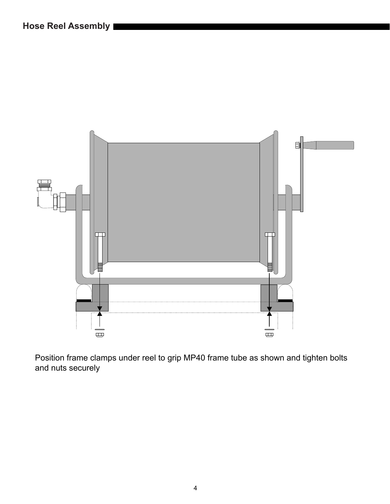

Position frame clamps under reel to grip MP40 frame tube as shown and tighten bolts and nuts securely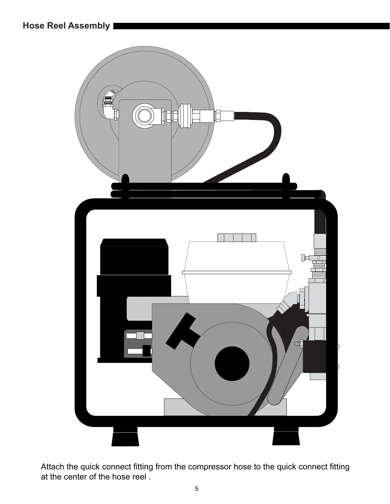**Hose Reel Assembly**



Attach the quick connect fitting from the compressor hose to the quick connect fitting at the center of the hose reel .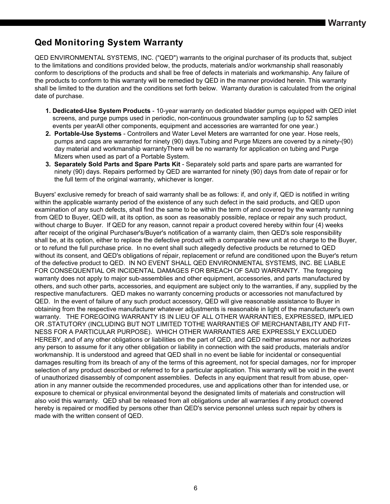# **Qed Monitoring System Warranty**

QED ENVIRONMENTAL SYSTEMS, INC. ("QED") warrants to the original purchaser of its products that, subject to the limitations and conditions provided below, the products, materials and/or workmanship shall reasonably conform to descriptions of the products and shall be free of defects in materials and workmanship. Any failure of the products to conform to this warranty will be remedied by QED in the manner provided herein. This warranty shall be limited to the duration and the conditions set forth below. Warranty duration is calculated from the original date of purchase.

- **1. Dedicated-Use System Products** 10-year warranty on dedicated bladder pumps equipped with QED inlet screens, and purge pumps used in periodic, non-continuous groundwater sampling (up to 52 samples events per yearAll other components, equipment and accessories are warranted for one year.)
- **2. Portable-Use Systems** Controllers and Water Level Meters are warranted for one year. Hose reels, pumps and caps are warranted for ninety (90) days.Tubing and Purge Mizers are covered by a ninety-(90) day material and workmanship warrantyThere will be no warranty for application on tubing and Purge Mizers when used as part of a Portable System.
- **3. Separately Sold Parts and Spare Parts Kit** Separately sold parts and spare parts are warranted for . ninety (90) days. Repairs performed by QED are warranted for ninety (90) days from date of repair or for the full term of the original warranty, whichever is longer.

or to refund the full purchase price. In no event shall such allegedly defective products be returned to QED<br>without its consent, and OED's ebligations of repair, replacement or refund are conditioned upon the Buyer's Buyers' exclusive remedy for breach of said warranty shall be as follows: if, and only if, QED is notified in writing within the applicable warranty period of the existence of any such defect in the said products, and QED upon examination of any such defects, shall find the same to be within the term of and covered by the warranty running from QED to Buyer, QED will, at its option, as soon as reasonably possible, replace or repair any such product, without charge to Buyer. If QED for any reason, cannot repair a product covered hereby within four (4) weeks after receipt of the original Purchaser's/Buyer's notification of a warranty claim, then QED's sole responsibility shall be, at its option, either to replace the defective product with a comparable new unit at no charge to the Buyer, without its consent, and QED's obligations of repair, replacement or refund are conditioned upon the Buyer's return of the defective product to QED. IN NO EVENT SHALL QED ENVIRONMENTAL SYSTEMS, INC. BE LIABLE FOR CONSEQUENTIAL OR INCIDENTAL DAMAGES FOR BREACH OF SAID WARRANTY. The foregoing warranty does not apply to major sub-assemblies and other equipment, accessories, and parts manufactured by others, and such other parts, accessories, and equipment are subject only to the warranties, if any, supplied by the respective manufacturers. QED makes no warranty concerning products or accessories not manufactured by QED. In the event of failure of any such product accessory, QED will give reasonable assistance to Buyer in obtaining from the respective manufacturer whatever adjustments is reasonable in light of the manufacturer's own warranty. THE FOREGOING WARRANTY IS IN LIEU OF ALL OTHER WARRANTIES, EXPRESSED, IMPLIED OR .STATUTORY (INCLUDING BUT NOT LIMITED TOTHE WARRANTIES OF MERCHANTABILITY AND FIT-NESS FOR A PARTICULAR PURPOSE). WHICH OTHER WARRANTIES ARE EXPRESSLY EXCLUDED HEREBY, and of any other obligations or liabilities on the part of QED, and QED neither assumes nor authorizes any person to assume for it any other obligation or liability in connection with the said products, materials and/or workmanship. It is understood and agreed that QED shall in no event be liable for incidental or consequential damages resulting from its breach of any of the terms of this agreement, not for special damages, nor for improper selection of any product described or referred to for a particular application. This warranty will be void in the event of unauthorized disassembly of component assemblies. Defects in any equipment that result from abuse, operation in any manner outside the recommended procedures, use and applications other than for intended use, or exposure to chemical or physical environmental beyond the designated limits of materials and construction will also void this warranty. QED shall be released from all obligations under all warranties if any product covered hereby is repaired or modified by persons other than QED's service personnel unless such repair by others is made with the written consent of QED.